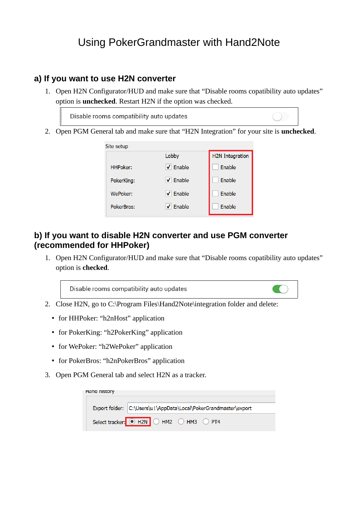## Using PokerGrandmaster with Hand2Note

## **a) If you want to use H2N converter**

1. Open H2N Configurator/HUD and make sure that "Disable rooms copatibility auto updates" option is **unchecked**. Restart H2N if the option was checked.

Disable rooms compatibility auto updates

2. Open PGM General tab and make sure that "H2N Integration" for your site is **unchecked**.



## **b) If you want to disable H2N converter and use PGM converter (recommended for HHPoker)**

1. Open H2N Configurator/HUD and make sure that "Disable rooms copatibility auto updates" option is **checked**.

Disable rooms compatibility auto updates

- 2. Close H2N, go to C:\Program Files\Hand2Note\integration folder and delete:
	- for HHPoker: "h2nHost" application
	- for PokerKing: "h2PokerKing" application
	- for WePoker: "h2WePoker" application
	- for PokerBros: "h2nPokerBros" application
- 3. Open PGM General tab and select H2N as a tracker.

| Hang history |  |                                                                  |  |  |  |
|--------------|--|------------------------------------------------------------------|--|--|--|
|              |  |                                                                  |  |  |  |
|              |  | Export folder: C:\Users\u1\AppData\Local\PokerGrandmaster\export |  |  |  |
|              |  | Select tracker: 0 H2N O HM2 O HM3 O PT4                          |  |  |  |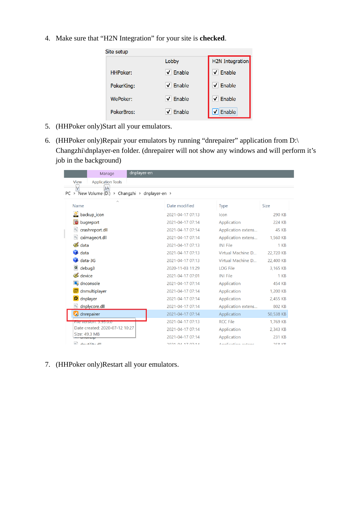4. Make sure that "H2N Integration" for your site is **checked**.

| Site setup      |                             |                             |  |  |  |
|-----------------|-----------------------------|-----------------------------|--|--|--|
|                 | Lobby                       | <b>H2N</b> Integration      |  |  |  |
| <b>HHPoker:</b> | $\sqrt{}$ Enable            | $\sqrt{\phantom{a}}$ Enable |  |  |  |
| PokerKing:      | $\sqrt{}$ Enable            | $\triangledown$ Enable      |  |  |  |
| WePoker:        | $\sqrt{\phantom{a}}$ Enable | $\sqrt{\phantom{a}}$ Enable |  |  |  |
| PokerBros:      | $\sqrt{\phantom{a}}$ Enable | $\triangledown$ Enable      |  |  |  |

- 5. (HHPoker only)Start all your emulators.
- 6. (HHPoker only)Repair your emulators by running "dnrepairer" application from D:\ Changzhi\dnplayer-en folder. (dnrepairer will not show any windows and will perform it's job in the background)

| dnplayer-en<br>Manage                                                                                      |                  |                    |               |  |  |  |  |
|------------------------------------------------------------------------------------------------------------|------------------|--------------------|---------------|--|--|--|--|
| <b>Application Tools</b><br>View                                                                           |                  |                    |               |  |  |  |  |
| V<br>JA<br>$PC \rightarrow$ New Volume (D:) $\rightarrow$ Changzhi $\rightarrow$ dnplayer-en $\rightarrow$ |                  |                    |               |  |  |  |  |
| $\wedge$                                                                                                   |                  |                    |               |  |  |  |  |
| Name                                                                                                       | Date modified    | <b>Type</b>        | <b>Size</b>   |  |  |  |  |
| backup_icon                                                                                                | 2021-04-17 07:13 | Icon               | 290 KB        |  |  |  |  |
| bugreport                                                                                                  | 2021-04-17 07:14 | Application        | 224 KB        |  |  |  |  |
| crashreport.dll                                                                                            | 2021-04-17 07:14 | Application extens | <b>45 KB</b>  |  |  |  |  |
| cximagecrt.dll                                                                                             | 2021-04-17 07:14 | Application extens | 1,560 KB      |  |  |  |  |
| & data                                                                                                     | 2021-04-17 07:13 | <b>INI File</b>    | $1 K$ B       |  |  |  |  |
| $\blacksquare$ data                                                                                        | 2021-04-17 07:13 | Virtual Machine D  | 22,720 KB     |  |  |  |  |
| $data-3G$                                                                                                  | 2021-04-17 07:13 | Virtual Machine D  | 22,400 KB     |  |  |  |  |
| 礛<br>debug3                                                                                                | 2020-11-03 11:29 | <b>LOG File</b>    | 3,165 KB      |  |  |  |  |
| device                                                                                                     | 2021-04-17 07:01 | <b>INI File</b>    | 1 KB          |  |  |  |  |
| dnconsole                                                                                                  | 2021-04-17 07:14 | Application        | 454 KB        |  |  |  |  |
| dnmultiplayer                                                                                              | 2021-04-17 07:14 | Application        | 1,200 KB      |  |  |  |  |
| dnplayer                                                                                                   | 2021-04-17 07:14 | Application        | 2,455 KB      |  |  |  |  |
| dnplycore.dll                                                                                              | 2021-04-17 07:14 | Application extens | 802 KB        |  |  |  |  |
| dhrepairer                                                                                                 | 2021-04-17 07:14 | Application        | 50,538 KB     |  |  |  |  |
| <u>FIIE VEISION. 3.95.0.0</u>                                                                              | 2021-04-17 07:13 | <b>RCC File</b>    | 1,769 KB      |  |  |  |  |
| Date created: 2020-07-12 10:27                                                                             | 2021-04-17 07:14 | Application        | 2,343 KB      |  |  |  |  |
| Size: 49.3 MB<br><b>VITUTTEIN</b>                                                                          | 2021-04-17 07:14 | Application        | 231 KB        |  |  |  |  |
| 品<br>doublished II                                                                                         | 202101177771     | Analization outons | <b>DEO VD</b> |  |  |  |  |

7. (HHPoker only)Restart all your emulators.